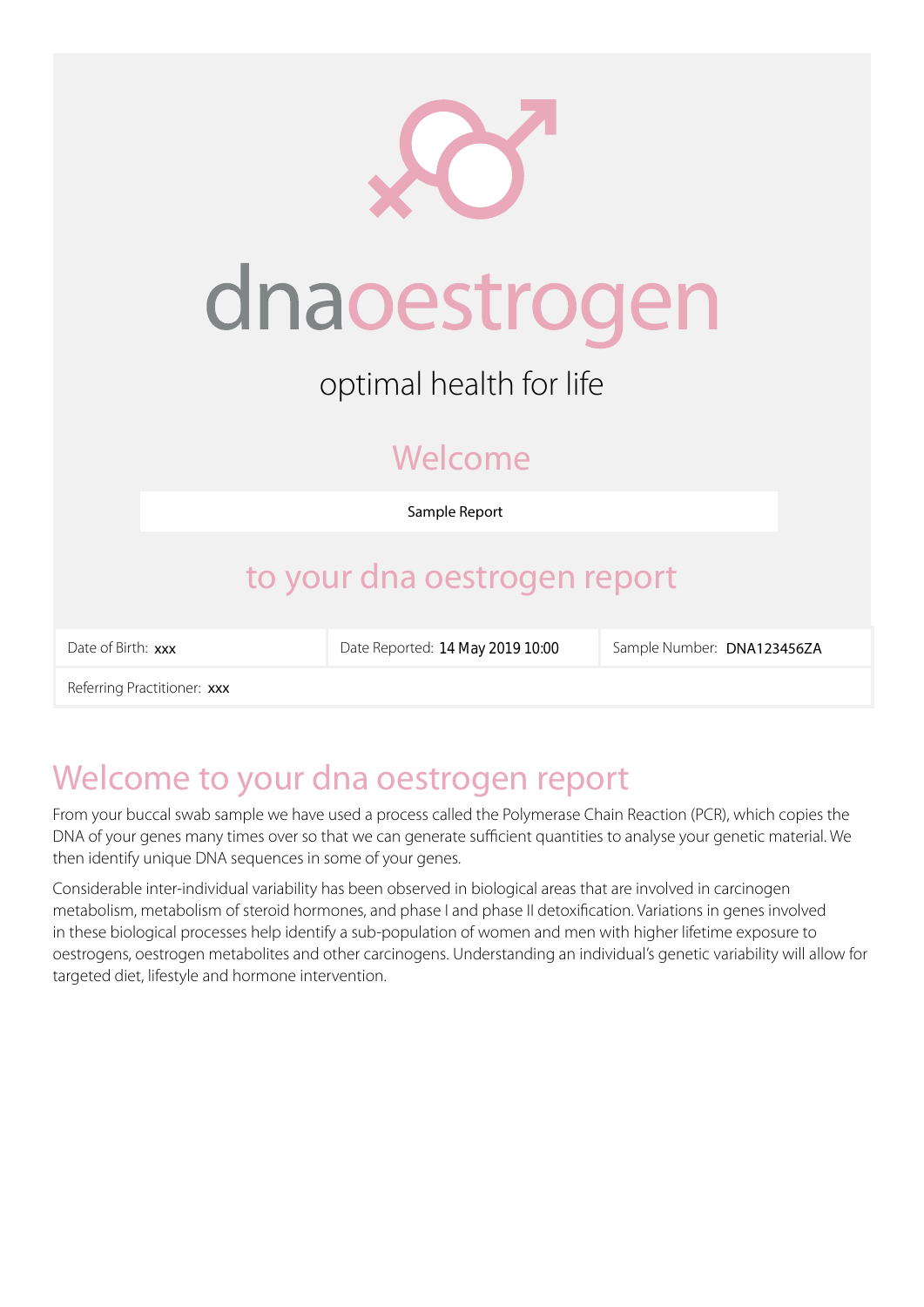| dnaoestrogen                 |                                  |                            |  |  |
|------------------------------|----------------------------------|----------------------------|--|--|
| optimal health for life      |                                  |                            |  |  |
| Welcome                      |                                  |                            |  |  |
| Sample Report                |                                  |                            |  |  |
| to your dna oestrogen report |                                  |                            |  |  |
| Date of Birth: xxx           | Date Reported: 14 May 2019 10:00 | Sample Number: DNA123456ZA |  |  |
| Referring Practitioner: xxx  |                                  |                            |  |  |

# Welcome to your dna oestrogen report

From your buccal swab sample we have used a process called the Polymerase Chain Reaction (PCR), which copies the DNA of your genes many times over so that we can generate sufficient quantities to analyse your genetic material. We then identify unique DNA sequences in some of your genes.

Considerable inter-individual variability has been observed in biological areas that are involved in carcinogen metabolism, metabolism of steroid hormones, and phase I and phase II detoxification. Variations in genes involved in these biological processes help identify a sub-population of women and men with higher lifetime exposure to oestrogens, oestrogen metabolites and other carcinogens. Understanding an individual's genetic variability will allow for targeted diet, lifestyle and hormone intervention.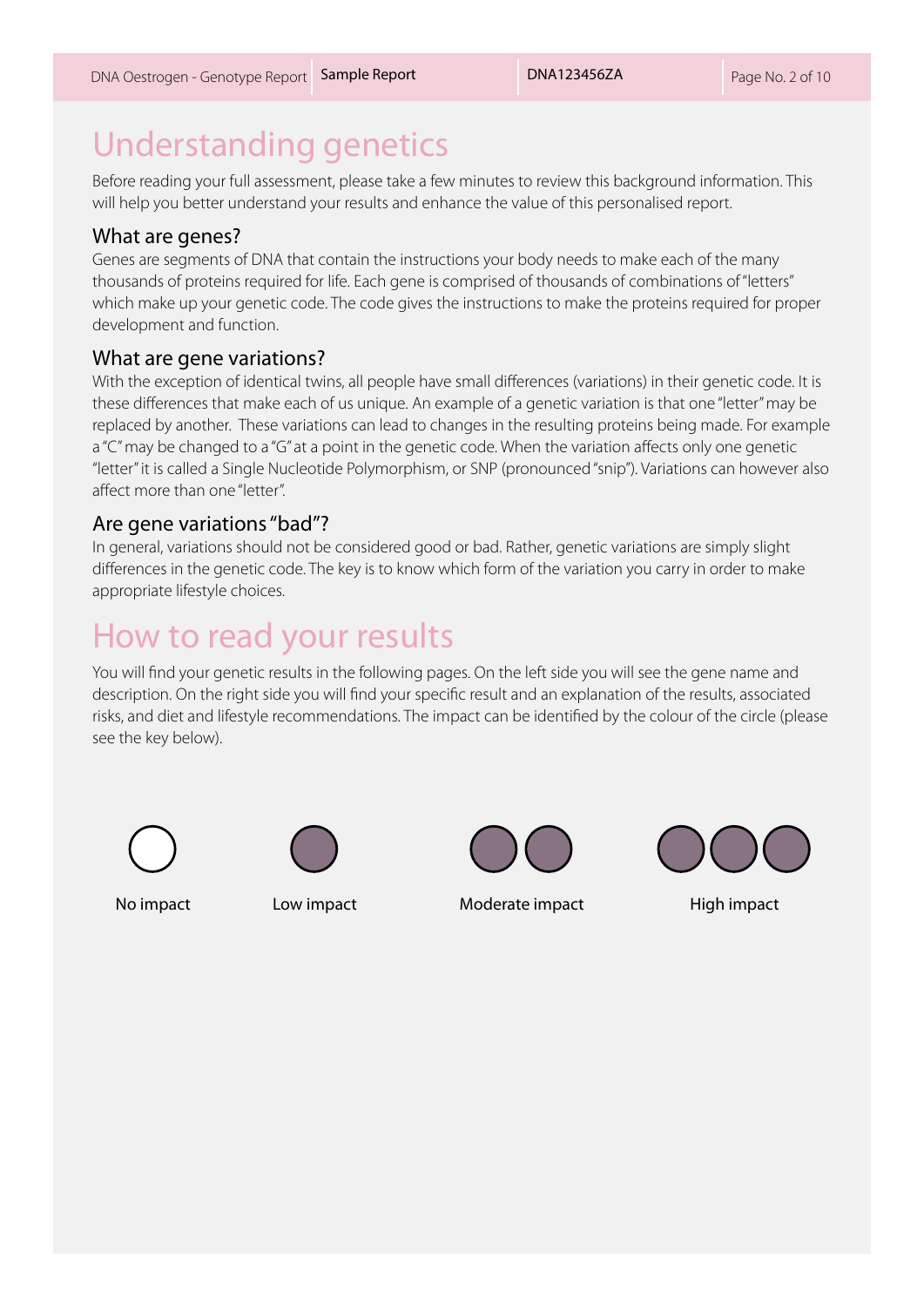# Understanding genetics

Before reading your full assessment, please take a few minutes to review this background information. This will help you better understand your results and enhance the value of this personalised report.

#### What are genes?

Genes are segments of DNA that contain the instructions your body needs to make each of the many thousands of proteins required for life. Each gene is comprised of thousands of combinations of "letters" which make up your genetic code. The code gives the instructions to make the proteins required for proper development and function.

#### What are gene variations?

With the exception of identical twins, all people have small differences (variations) in their genetic code. It is these differences that make each of us unique. An example of a genetic variation is that one "letter" may be replaced by another. These variations can lead to changes in the resulting proteins being made. For example a "C" may be changed to a "G" at a point in the genetic code. When the variation affects only one genetic "letter" it is called a Single Nucleotide Polymorphism, or SNP (pronounced "snip"). Variations can however also affect more than one "letter".

#### Are gene variations "bad"?

In general, variations should not be considered good or bad. Rather, genetic variations are simply slight differences in the genetic code. The key is to know which form of the variation you carry in order to make appropriate lifestyle choices.

# How to read your results

You will find your genetic results in the following pages. On the left side you will see the gene name and description. On the right side you will find your specific result and an explanation of the results, associated risks, and diet and lifestyle recommendations. The impact can be identified by the colour of the circle (please see the key below).









No impact Low impact **Low impact** Moderate impact High impact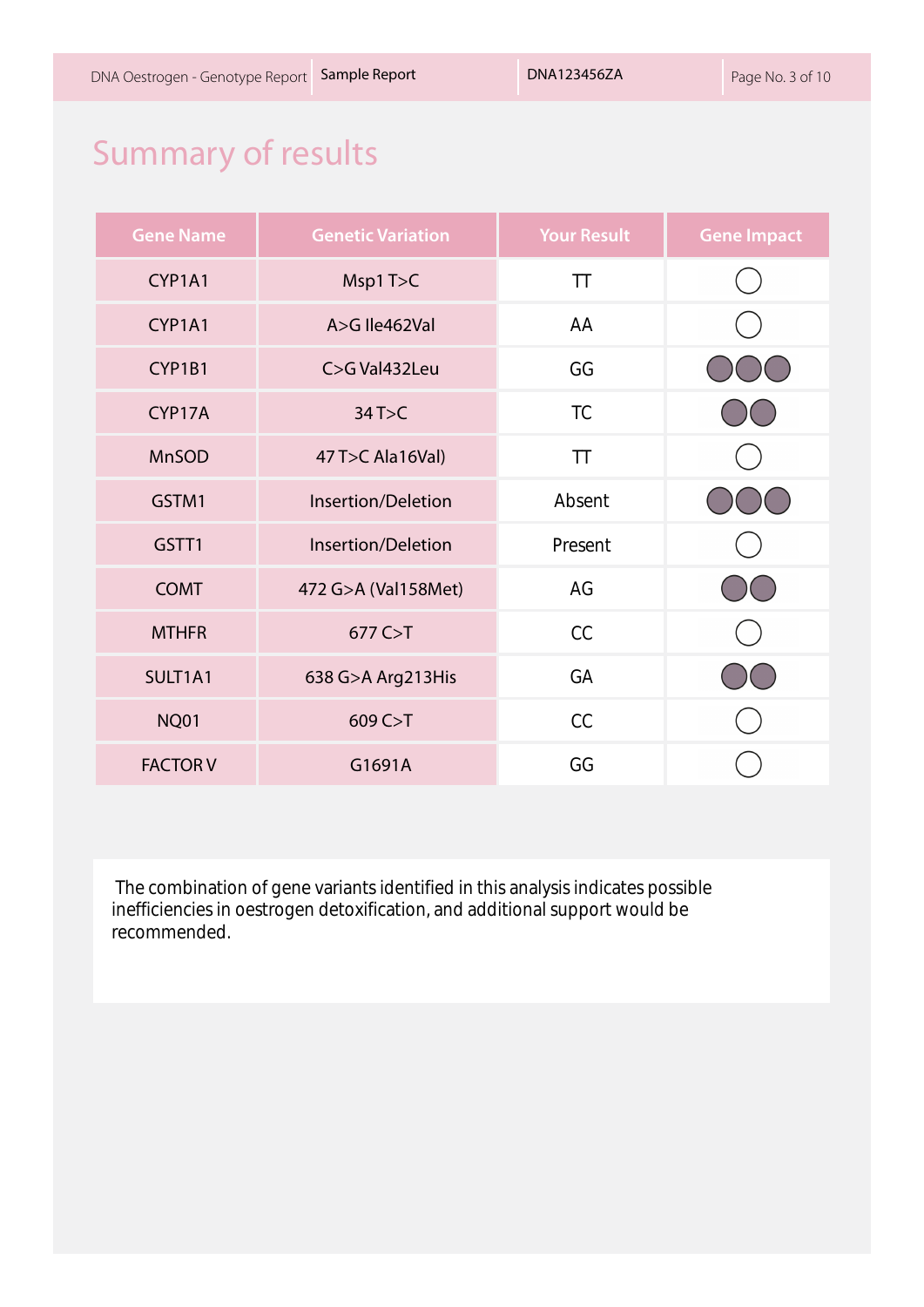# Summary of results

| <b>Gene Name</b> | <b>Genetic Variation</b> | <b>Your Result</b> | <b>Gene Impact</b> |
|------------------|--------------------------|--------------------|--------------------|
| CYP1A1           | Msp1T>C                  | <b>TT</b>          |                    |
| CYP1A1           | A>G Ile462Val            | AA                 |                    |
| CYP1B1           | C>G Val432Leu            | GG                 |                    |
| CYP17A           | 34T > C                  | <b>TC</b>          |                    |
| <b>MnSOD</b>     | 47 T>C Ala16Val)         | <b>TT</b>          |                    |
| GSTM1            | Insertion/Deletion       | Absent             |                    |
| GSTT1            | Insertion/Deletion       | Present            |                    |
| <b>COMT</b>      | 472 G>A (Val158Met)      | AG                 |                    |
| <b>MTHFR</b>     | 677 C > T                | CC                 |                    |
| SULT1A1          | 638 G>A Arg213His        | GA                 |                    |
| <b>NQ01</b>      | 609 C > T                | CC                 |                    |
| <b>FACTOR V</b>  | G1691A                   | GG                 |                    |

 The combination of gene variants identified in this analysis indicates possible inefficiencies in oestrogen detoxification, and additional support would be recommended.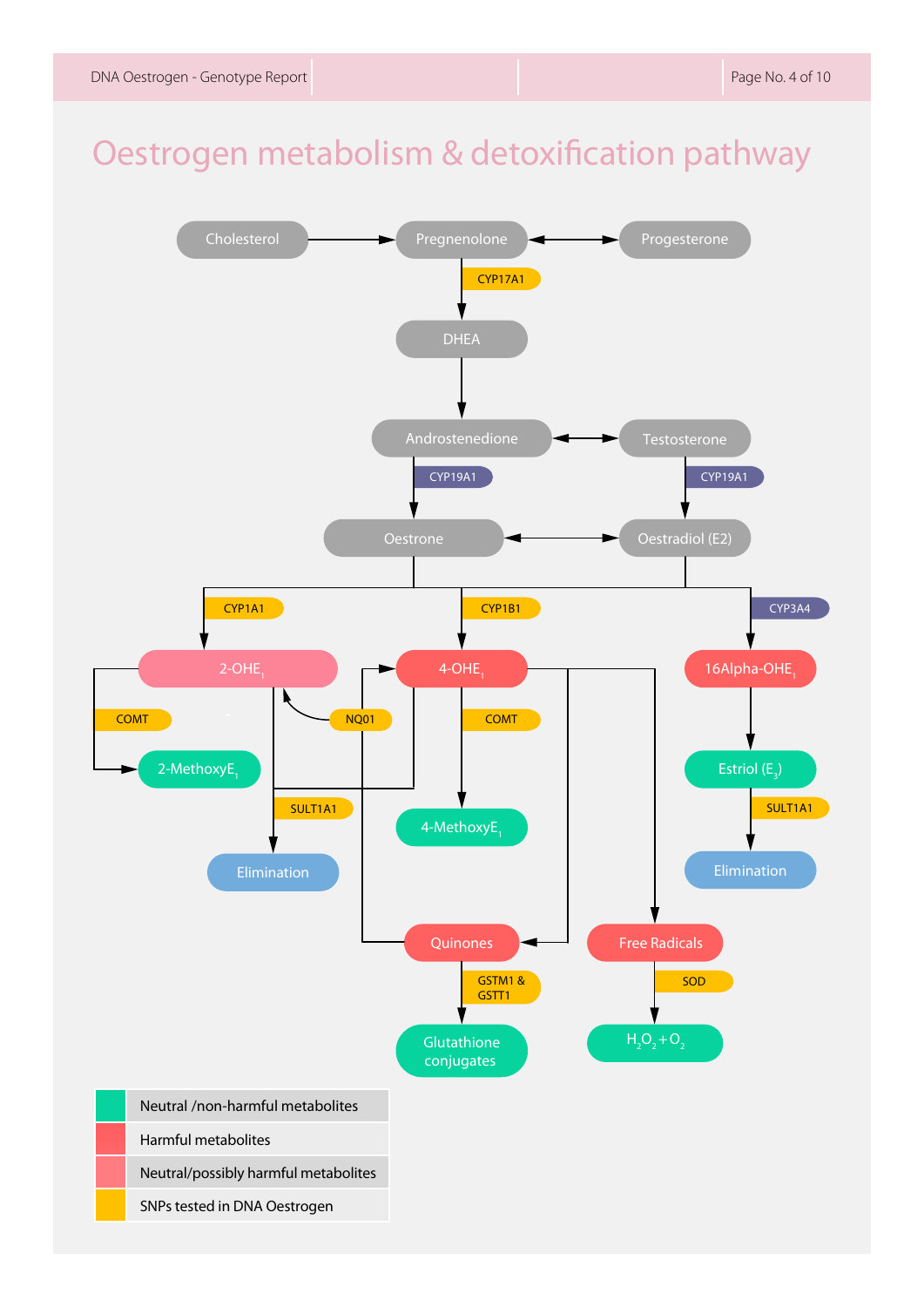# Oestrogen metabolism & detoxification pathway

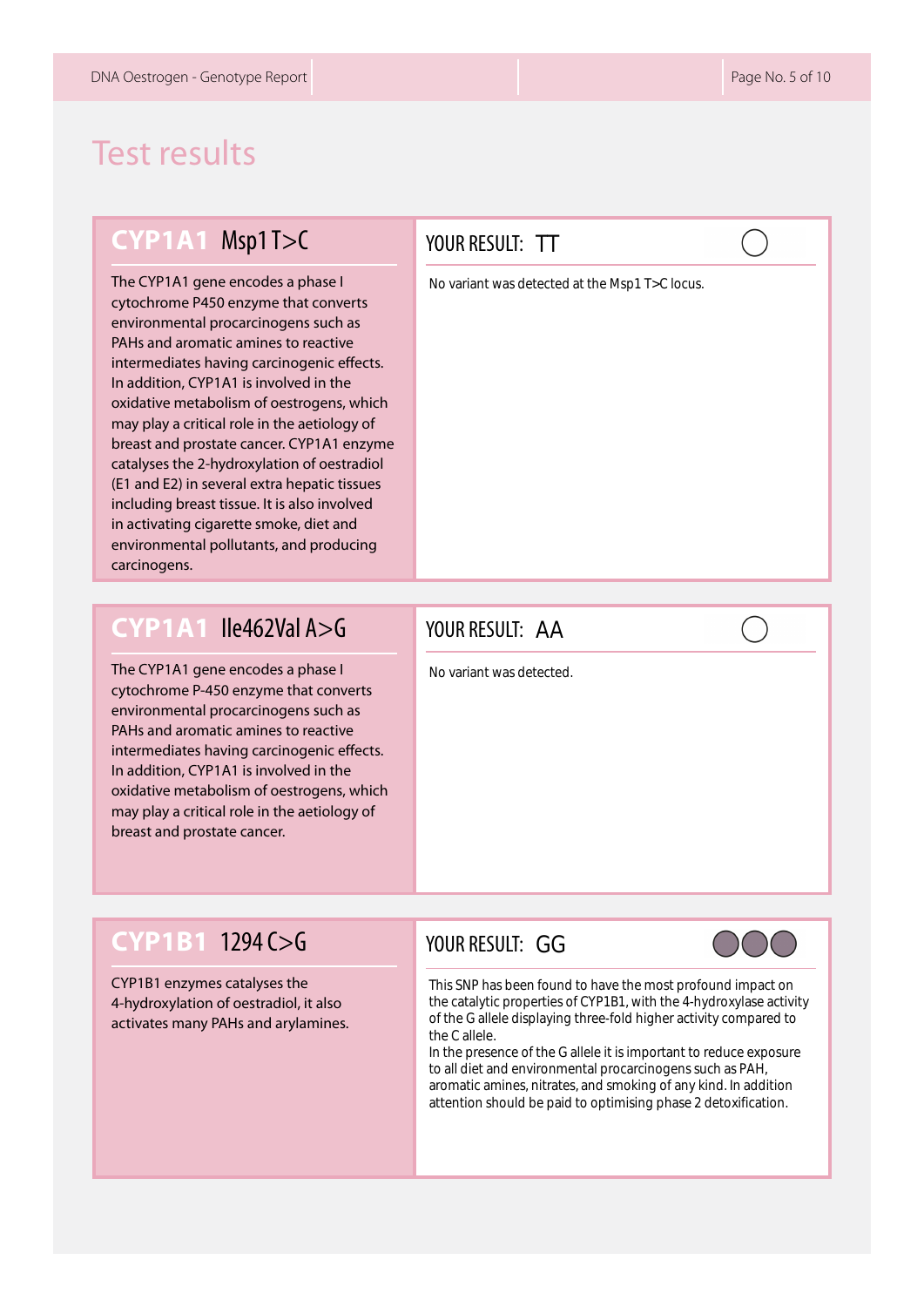# Test results

#### **CYP1A1** Msp1 T>C

The CYP1A1 gene encodes a phase I cytochrome P450 enzyme that converts environmental procarcinogens such as PAHs and aromatic amines to reactive intermediates having carcinogenic effects. In addition, CYP1A1 is involved in the oxidative metabolism of oestrogens, which may play a critical role in the aetiology of breast and prostate cancer. CYP1A1 enzyme catalyses the 2-hydroxylation of oestradiol (E1 and E2) in several extra hepatic tissues including breast tissue. It is also involved in activating cigarette smoke, diet and environmental pollutants, and producing carcinogens.

#### **CYP1A1** Ile462Val A>G

The CYP1A1 gene encodes a phase I cytochrome P-450 enzyme that converts environmental procarcinogens such as PAHs and aromatic amines to reactive intermediates having carcinogenic effects. In addition, CYP1A1 is involved in the oxidative metabolism of oestrogens, which may play a critical role in the aetiology of breast and prostate cancer.

#### YOUR RESULT: TT

No variant was detected at the Msp1 T>C locus.

#### YOUR RESULT: AA

No variant was detected.

#### **CYP1B1** 1294 C>G

CYP1B1 enzymes catalyses the 4-hydroxylation of oestradiol, it also activates many PAHs and arylamines.

# YOUR RESULT: GG TT<br>tected<br>GGG

This SNP has been found to have the most profound impact on the catalytic properties of CYP1B1, with the 4-hydroxylase activity of the G allele displaying three-fold higher activity compared to the C allele.

In the presence of the G allele it is important to reduce exposure to all diet and environmental procarcinogens such as PAH, aromatic amines, nitrates, and smoking of any kind. In addition attention should be paid to optimising phase 2 detoxification.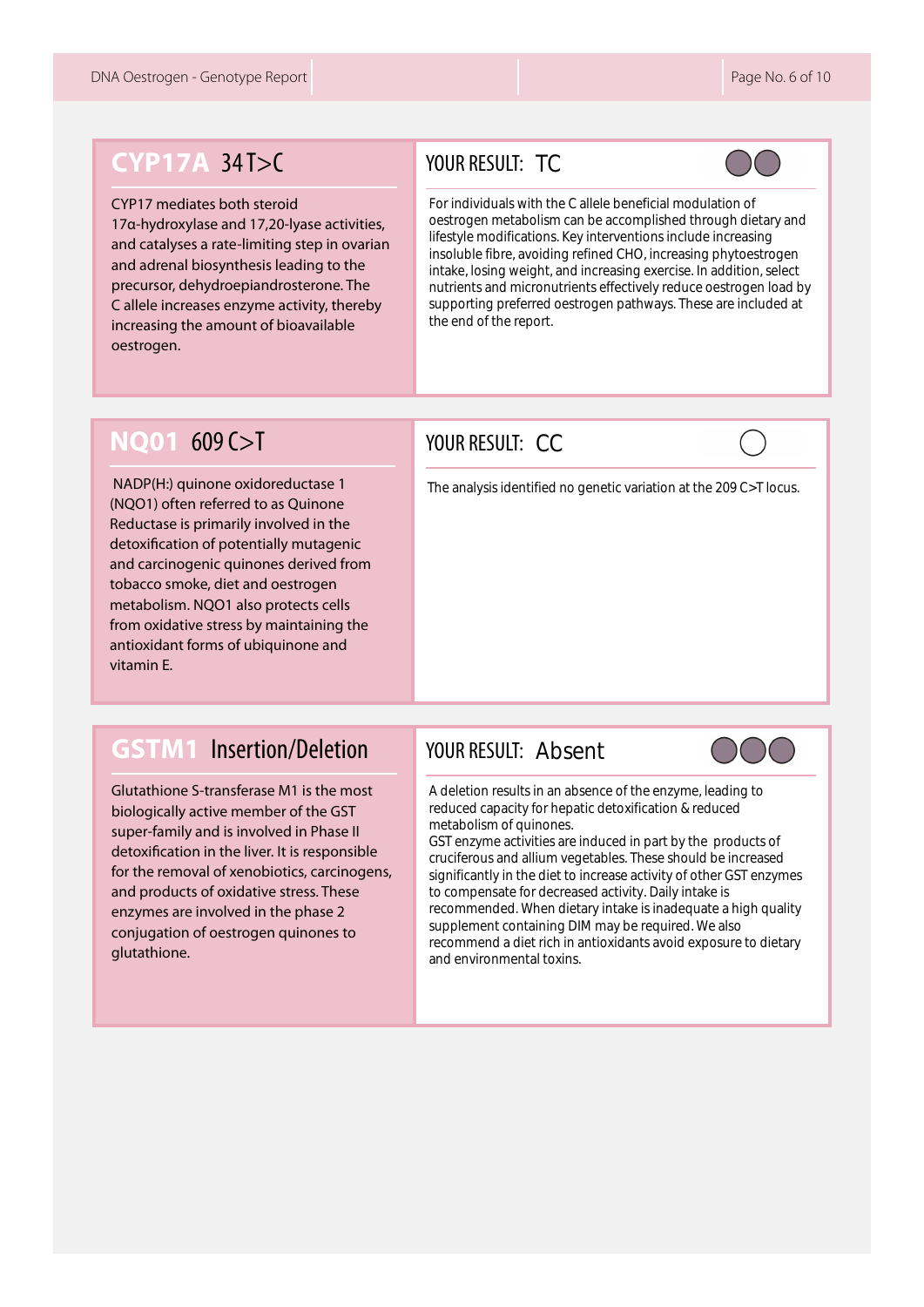## **CYP17A** 34 T>C

#### CYP17 mediates both steroid

17α-hydroxylase and 17,20-lyase activities, and catalyses a rate-limiting step in ovarian and adrenal biosynthesis leading to the precursor, dehydroepiandrosterone. The C allele increases enzyme activity, thereby increasing the amount of bioavailable oestrogen.

#### YOUR RESULT: TC



TC<br>h the C allel<br>olism can be<br>ons. Key interfections of<br>pht, and increased oestroge<br>ort.<br>CC<br>fied no gene For individuals with the C allele beneficial modulation of oestrogen metabolism can be accomplished through dietary and lifestyle modifications. Key interventions include increasing insoluble fibre, avoiding refined CHO, increasing phytoestrogen intake, losing weight, and increasing exercise. In addition, select nutrients and micronutrients effectively reduce oestrogen load by supporting preferred oestrogen pathways. These are included at the end of the report.

### **NQ01** 609 C>T

 NADP(H:) quinone oxidoreductase 1 (NQO1) often referred to as Quinone Reductase is primarily involved in the detoxification of potentially mutagenic and carcinogenic quinones derived from tobacco smoke, diet and oestrogen metabolism. NQO1 also protects cells from oxidative stress by maintaining the antioxidant forms of ubiquinone and vitamin E.

### **GSTM1** Insertion/Deletion

Glutathione S-transferase M1 is the most biologically active member of the GST super-family and is involved in Phase II detoxification in the liver. It is responsible for the removal of xenobiotics, carcinogens, and products of oxidative stress. These enzymes are involved in the phase 2 conjugation of oestrogen quinones to glutathione.

#### YOUR RESULT: CC



The analysis identified no genetic variation at the 209 C>T locus.

#### YOUR RESULT: Absent



A deletion results in an absence of the enzyme, leading to reduced capacity for hepatic detoxification & reduced metabolism of quinones.

GST enzyme activities are induced in part by the products of cruciferous and allium vegetables. These should be increased significantly in the diet to increase activity of other GST enzymes to compensate for decreased activity. Daily intake is recommended. When dietary intake is inadequate a high quality supplement containing DIM may be required. We also recommend a diet rich in antioxidants avoid exposure to dietary and environmental toxins.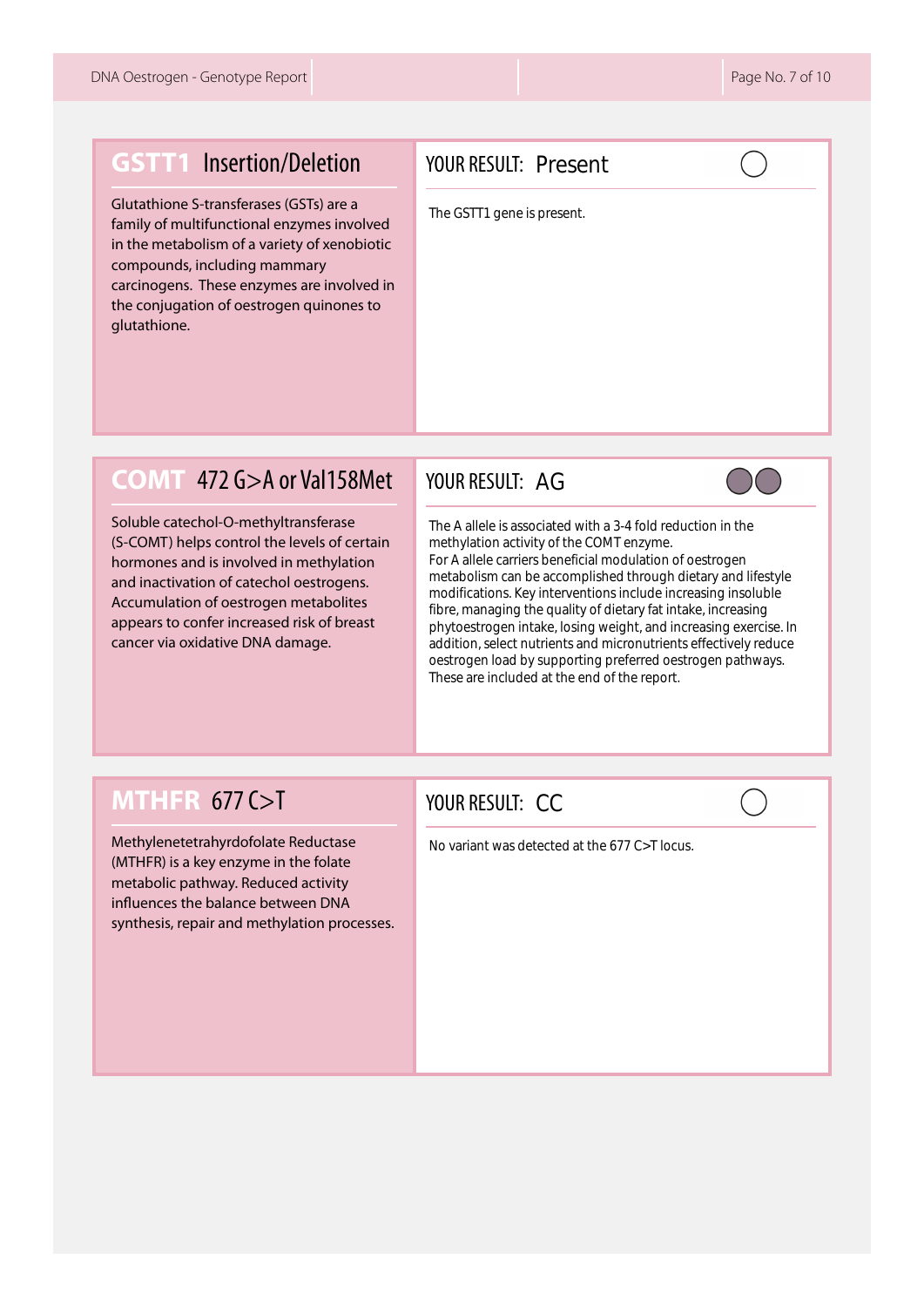#### **GSTT1** Insertion/Deletion

Glutathione S-transferases (GSTs) are a family of multifunctional enzymes involved in the metabolism of a variety of xenobiotic compounds, including mammary carcinogens. These enzymes are involved in the conjugation of oestrogen quinones to glutathione.

#### YOUR RESULT: Present

The GSTT1 gene is present.

#### **COMT** 472 G>A or Val158Met

Soluble catechol-O-methyltransferase (S-COMT) helps control the levels of certain hormones and is involved in methylation and inactivation of catechol oestrogens. Accumulation of oestrogen metabolites appears to confer increased risk of breast cancer via oxidative DNA damage.

#### YOUR RESULT: AG



AG<br>
Criate<br>
s ben acc<br>
inter e quale, l<br>
supprement is and the supprementation<br>
CC The A allele is associated with a 3-4 fold reduction in the<br>methylation activity of the COMT enzyme.<br>For A allele carriers beneficial modulation of oestrogen<br>metabolism can be accomplished through dietary and li<br>modificati methylation activity of the COMT enzyme. For A allele carriers beneficial modulation of oestrogen metabolism can be accomplished through dietary and lifestyle modifications. Key interventions include increasing insoluble fibre, managing the quality of dietary fat intake, increasing phytoestrogen intake, losing weight, and increasing exercise. In addition, select nutrients and micronutrients effectively reduce oestrogen load by supporting preferred oestrogen pathways. These are included at the end of the report.

## **MTHFR** 677 C>T

Methylenetetrahyrdofolate Reductase (MTHFR) is a key enzyme in the folate metabolic pathway. Reduced activity influences the balance between DNA synthesis, repair and methylation processes.

#### YOUR RESULT: CC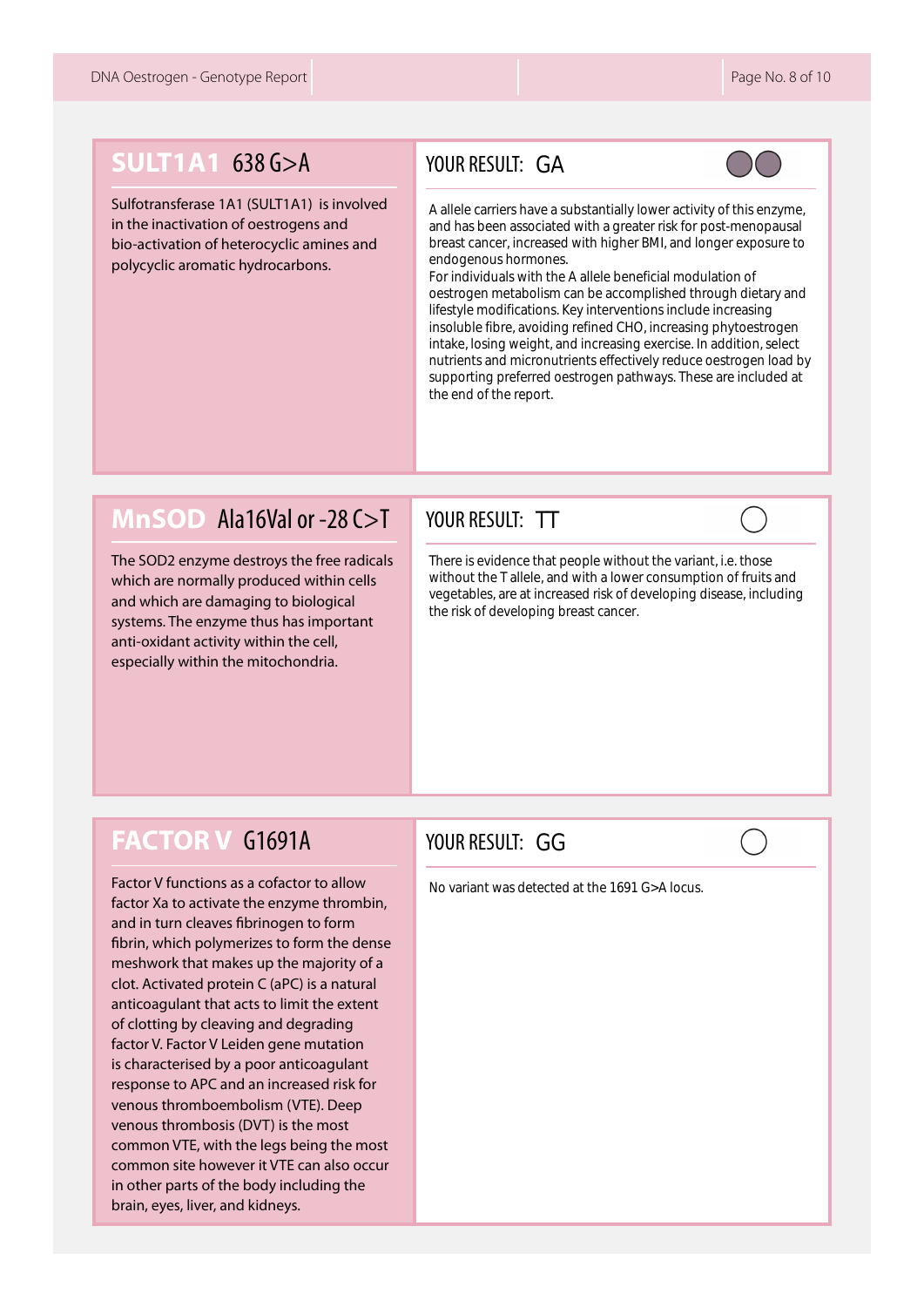# **SULT1A1 638 G>A**

Sulfotransferase 1A1 (SULT1A1) is involved in the inactivation of oestrogens and bio-activation of heterocyclic amines and polycyclic aromatic hydrocarbons.

#### YOUR RESULT: GA



A allele carriers have a substantially lower activity of this enzyme, and has been associated with a greater risk for post-menopausal breast cancer, increased with higher BMI, and longer exposure to endogenous hormones.

GA<br>
we assciate<br>
eased cones<br>
h the dism ons. I<br>
biding bind, and the dism of the dism of the dism of the dism of the dism of the dism of the discriming b<br>
TT That pe, and increasing b<br>
GG For individuals with the A allele beneficial modulation of oestrogen metabolism can be accomplished through dietary and lifestyle modifications. Key interventions include increasing insoluble fibre, avoiding refined CHO, increasing phytoestrogen intake, losing weight, and increasing exercise. In addition, select nutrients and micronutrients effectively reduce oestrogen load by supporting preferred oestrogen pathways. These are included at the end of the report.

#### **MnSOD** Ala16Val or -28 C>T

The SOD2 enzyme destroys the free radicals which are normally produced within cells and which are damaging to biological systems. The enzyme thus has important anti-oxidant activity within the cell, especially within the mitochondria.

#### YOUR RESULT: TT

There is evidence that people without the variant, i.e. those without the T allele, and with a lower consumption of fruits and vegetables, are at increased risk of developing disease, including the risk of developing breast cancer.

#### **FACTOR V** G1691A

Factor V functions as a cofactor to allow factor Xa to activate the enzyme thrombin, and in turn cleaves fibrinogen to form fibrin, which polymerizes to form the dense meshwork that makes up the majority of a clot. Activated protein C (aPC) is a natural anticoagulant that acts to limit the extent of clotting by cleaving and degrading factor V. Factor V Leiden gene mutation is characterised by a poor anticoagulant response to APC and an increased risk for venous thromboembolism (VTE). Deep venous thrombosis (DVT) is the most common VTE, with the legs being the most common site however it VTE can also occur in other parts of the body including the brain, eyes, liver, and kidneys.

#### YOUR RESULT: GG

No variant was detected at the 1691 G>A locus.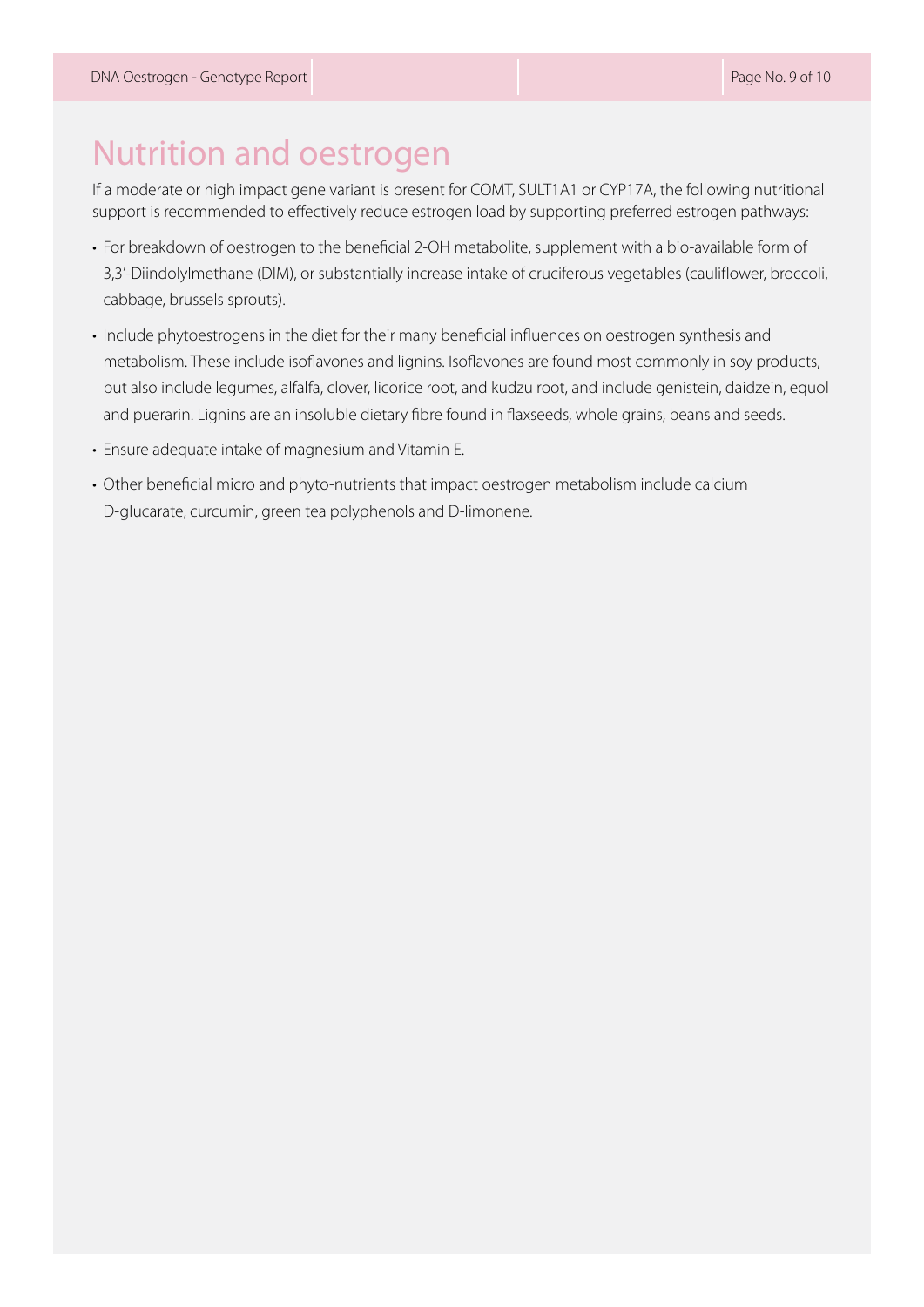# Nutrition and oestrogen

If a moderate or high impact gene variant is present for COMT, SULT1A1 or CYP17A, the following nutritional support is recommended to effectively reduce estrogen load by supporting preferred estrogen pathways:

- For breakdown of oestrogen to the beneficial 2-OH metabolite, supplement with a bio-available form of 3,3'-Diindolylmethane (DIM), or substantially increase intake of cruciferous vegetables (cauliflower, broccoli, cabbage, brussels sprouts).
- Include phytoestrogens in the diet for their many beneficial influences on oestrogen synthesis and metabolism. These include isoflavones and lignins. Isoflavones are found most commonly in soy products, but also include legumes, alfalfa, clover, licorice root, and kudzu root, and include genistein, daidzein, equol and puerarin. Lignins are an insoluble dietary fibre found in flaxseeds, whole grains, beans and seeds.
- Ensure adequate intake of magnesium and Vitamin E.
- Other beneficial micro and phyto-nutrients that impact oestrogen metabolism include calcium D-glucarate, curcumin, green tea polyphenols and D-limonene.